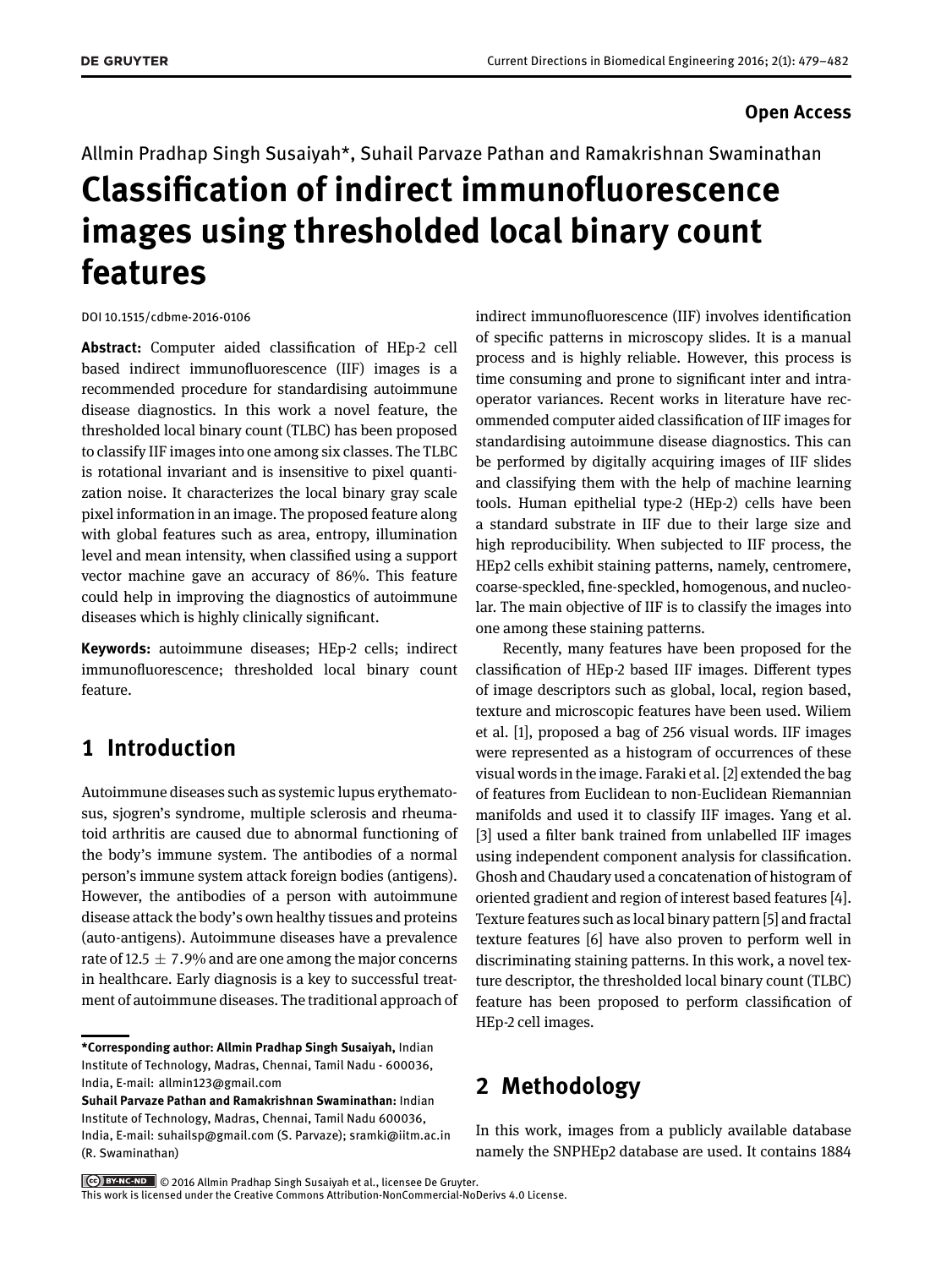### **Open Access**

Allmin Pradhap Singh Susaiyah\*, Suhail Parvaze Pathan and Ramakrishnan Swaminathan

# **Classification of indirect immunofluorescence images using thresholded local binary count features**

DOI 10.1515/cdbme-2016-0106

**Abstract:** Computer aided classification of HEp-2 cell based indirect immunofluorescence (IIF) images is a recommended procedure for standardising autoimmune disease diagnostics. In this work a novel feature, the thresholded local binary count (TLBC) has been proposed to classify IIF images into one among six classes. The TLBC is rotational invariant and is insensitive to pixel quantization noise. It characterizes the local binary gray scale pixel information in an image. The proposed feature along with global features such as area, entropy, illumination level and mean intensity, when classified using a support vector machine gave an accuracy of 86%. This feature could help in improving the diagnostics of autoimmune diseases which is highly clinically significant.

**Keywords:** autoimmune diseases; HEp-2 cells; indirect immunofluorescence; thresholded local binary count feature.

# **1 Introduction**

Autoimmune diseases such as systemic lupus erythematosus, sjogren's syndrome, multiple sclerosis and rheumatoid arthritis are caused due to abnormal functioning of the body's immune system. The antibodies of a normal person's immune system attack foreign bodies (antigens). However, the antibodies of a person with autoimmune disease attack the body's own healthy tissues and proteins (auto-antigens). Autoimmune diseases have a prevalence rate of 12.5  $\pm$  7.9% and are one among the major concerns in healthcare. Early diagnosis is a key to successful treatment of autoimmune diseases. The traditional approach of

**Suhail Parvaze Pathan and Ramakrishnan Swaminathan:** Indian Institute of Technology, Madras, Chennai, Tamil Nadu 600036, India, E-mail: suhailsp@gmail.com (S. Parvaze); sramki@iitm.ac.in (R. Swaminathan)

indirect immunofluorescence (IIF) involves identification of specific patterns in microscopy slides. It is a manual process and is highly reliable. However, this process is time consuming and prone to significant inter and intraoperator variances. Recent works in literature have recommended computer aided classification of IIF images for standardising autoimmune disease diagnostics. This can be performed by digitally acquiring images of IIF slides and classifying them with the help of machine learning tools. Human epithelial type-2 (HEp-2) cells have been a standard substrate in IIF due to their large size and high reproducibility. When subjected to IIF process, the HEp2 cells exhibit staining patterns, namely, centromere, coarse-speckled, fine-speckled, homogenous, and nucleolar. The main objective of IIF is to classify the images into one among these staining patterns.

Recently, many features have been proposed for the classification of HEp-2 based IIF images. Different types of image descriptors such as global, local, region based, texture and microscopic features have been used. Wiliem et al. [\[1\]](#page-3-1), proposed a bag of 256 visual words. IIF images were represented as a histogram of occurrences of these visual words in the image. Faraki et al. [\[2\]](#page-3-2) extended the bag of features from Euclidean to non-Euclidean Riemannian manifolds and used it to classify IIF images. Yang et al. [\[3\]](#page-3-3) used a filter bank trained from unlabelled IIF images using independent component analysis for classification. Ghosh and Chaudary used a concatenation of histogram of oriented gradient and region of interest based features [\[4\]](#page-3-4). Texture features such as local binary pattern [\[5\]](#page-3-5) and fractal texture features [\[6\]](#page-3-6) have also proven to perform well in discriminating staining patterns. In this work, a novel texture descriptor, the thresholded local binary count (TLBC) feature has been proposed to perform classification of HEp-2 cell images.

# **2 Methodology**

In this work, images from a publicly available database namely the SNPHEp2 database are used. It contains 1884

© 2016 Allmin Pradhap Singh Susaiyah et al., licensee De Gruyter. This work is licensed under the Creative Commons Attribution-NonCommercial-NoDerivs 4.0 License.

**<sup>\*</sup>Corresponding author: Allmin Pradhap Singh Susaiyah,** Indian Institute of Technology, Madras, Chennai, Tamil Nadu - 600036, India, E-mail: [allmin123@gmail.com](mailto:allmin123@gmail.com)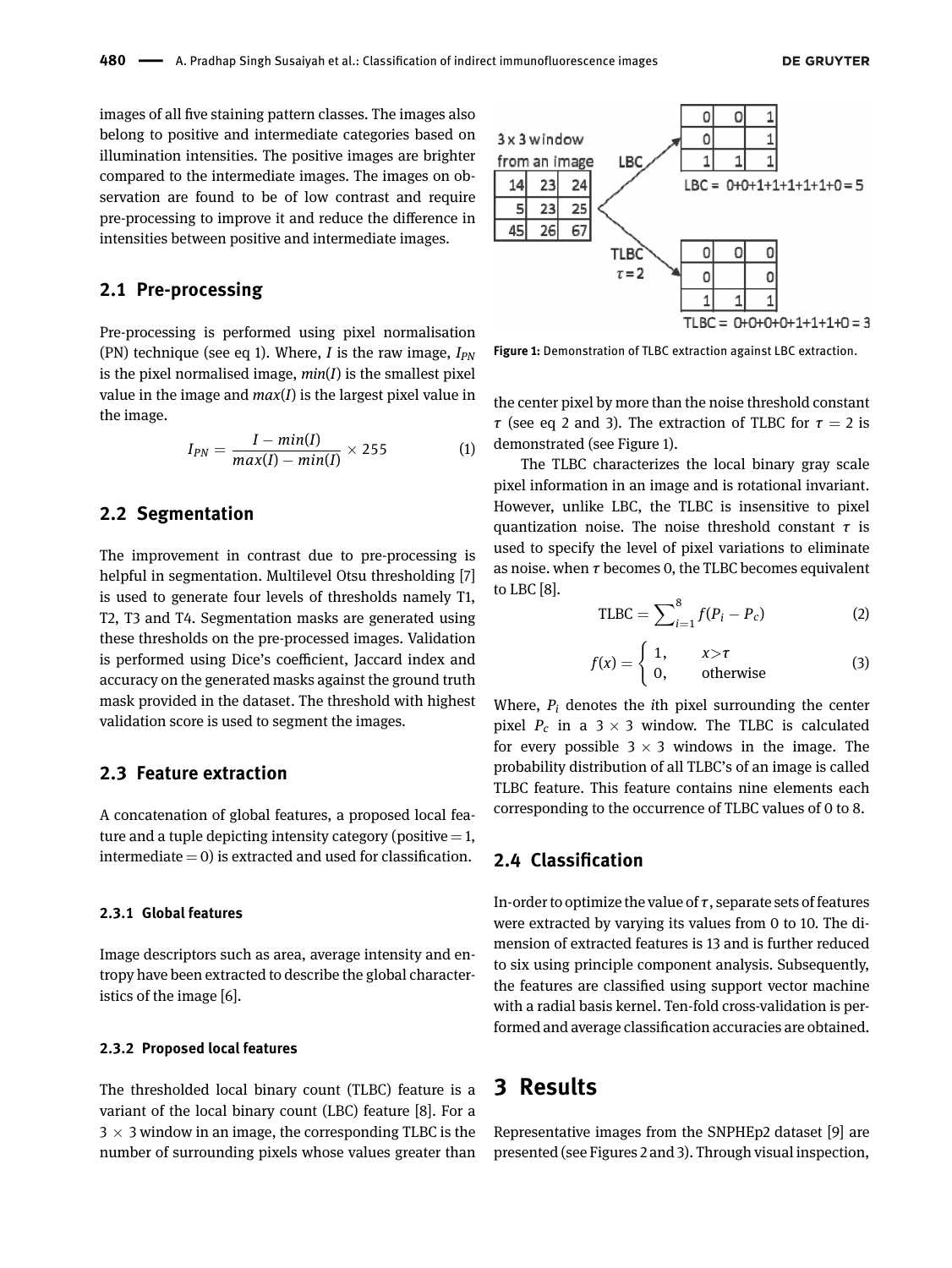images of all five staining pattern classes. The images also belong to positive and intermediate categories based on illumination intensities. The positive images are brighter compared to the intermediate images. The images on observation are found to be of low contrast and require pre-processing to improve it and reduce the difference in intensities between positive and intermediate images.

### **2.1 Pre-processing**

Pre-processing is performed using pixel normalisation (PN) technique (see eq 1). Where, *I* is the raw image, *IPN* is the pixel normalised image, *min*(*I*) is the smallest pixel value in the image and *max*(*I*) is the largest pixel value in the image.

$$
I_{PN} = \frac{I - min(I)}{max(I) - min(I)} \times 255
$$
 (1)

### **2.2 Segmentation**

The improvement in contrast due to pre-processing is helpful in segmentation. Multilevel Otsu thresholding [\[7\]](#page-3-7) is used to generate four levels of thresholds namely T1, T2, T3 and T4. Segmentation masks are generated using these thresholds on the pre-processed images. Validation is performed using Dice's coefficient, Jaccard index and accuracy on the generated masks against the ground truth mask provided in the dataset. The threshold with highest validation score is used to segment the images.

### **2.3 Feature extraction**

A concatenation of global features, a proposed local feature and a tuple depicting intensity category (positive  $=$  1, intermediate  $= 0$ ) is extracted and used for classification.

#### **2.3.1 Global features**

Image descriptors such as area, average intensity and entropy have been extracted to describe the global characteristics of the image [\[6\]](#page-3-6).

#### **2.3.2 Proposed local features**

The thresholded local binary count (TLBC) feature is a variant of the local binary count (LBC) feature [\[8\]](#page-3-8). For a  $3 \times 3$  window in an image, the corresponding TLBC is the number of surrounding pixels whose values greater than

<span id="page-1-0"></span>

**Figure 1:** Demonstration of TLBC extraction against LBC extraction.

the center pixel by more than the noise threshold constant *τ* (see eq 2 and 3). The extraction of TLBC for  $τ = 2$  is demonstrated (see [Figure 1\)](#page-1-0).

The TLBC characterizes the local binary gray scale pixel information in an image and is rotational invariant. However, unlike LBC, the TLBC is insensitive to pixel quantization noise. The noise threshold constant *τ* is used to specify the level of pixel variations to eliminate as noise. when *τ* becomes 0, the TLBC becomes equivalent to LBC [\[8\]](#page-3-8).

$$
TLBC = \sum_{i=1}^{8} f(P_i - P_c)
$$
 (2)

$$
f(x) = \begin{cases} 1, & x > \tau \\ 0, & \text{otherwise} \end{cases}
$$
 (3)

Where, *P<sup>i</sup>* denotes the *i*th pixel surrounding the center pixel  $P_c$  in a 3  $\times$  3 window. The TLBC is calculated for every possible  $3 \times 3$  windows in the image. The probability distribution of all TLBC's of an image is called TLBC feature. This feature contains nine elements each corresponding to the occurrence of TLBC values of 0 to 8.

### **2.4 Classification**

In-order to optimize the value of *τ*, separate sets of features were extracted by varying its values from 0 to 10. The dimension of extracted features is 13 and is further reduced to six using principle component analysis. Subsequently, the features are classified using support vector machine with a radial basis kernel. Ten-fold cross-validation is performed and average classification accuracies are obtained.

# **3 Results**

Representative images from the SNPHEp2 dataset [\[9\]](#page-3-9) are presented (see [Figures 2](#page-2-0) and [3\)](#page-2-1). Through visual inspection,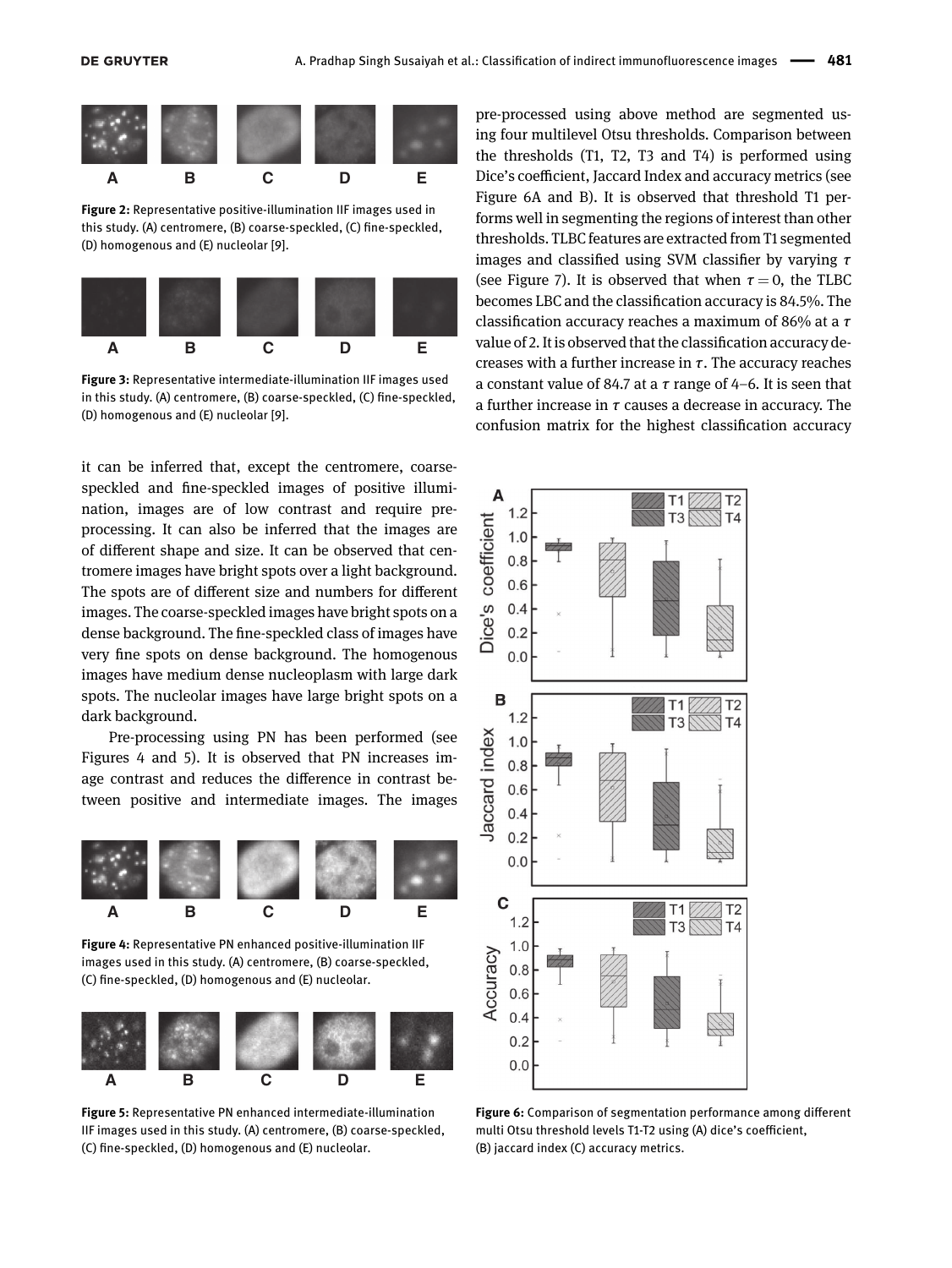<span id="page-2-0"></span>

**Figure 2:** Representative positive-illumination IIF images used in this study. (A) centromere, (B) coarse-speckled, (C) fine-speckled, (D) homogenous and (E) nucleolar [\[9\]](#page-3-9).

<span id="page-2-1"></span>

**Figure 3:** Representative intermediate-illumination IIF images used in this study. (A) centromere, (B) coarse-speckled, (C) fine-speckled, (D) homogenous and (E) nucleolar [\[9\]](#page-3-9).

it can be inferred that, except the centromere, coarsespeckled and fine-speckled images of positive illumination, images are of low contrast and require preprocessing. It can also be inferred that the images are of different shape and size. It can be observed that centromere images have bright spots over a light background. The spots are of different size and numbers for different images. The coarse-speckled images have bright spots on a dense background. The fine-speckled class of images have very fine spots on dense background. The homogenous images have medium dense nucleoplasm with large dark spots. The nucleolar images have large bright spots on a dark background.

Pre-processing using PN has been performed (see [Figures 4](#page-2-2) and [5\)](#page-2-3). It is observed that PN increases image contrast and reduces the difference in contrast between positive and intermediate images. The images

<span id="page-2-2"></span>



<span id="page-2-3"></span>

**Figure 5:** Representative PN enhanced intermediate-illumination IIF images used in this study. (A) centromere, (B) coarse-speckled, (C) fine-speckled, (D) homogenous and (E) nucleolar.

pre-processed using above method are segmented using four multilevel Otsu thresholds. Comparison between the thresholds (T1, T2, T3 and T4) is performed using Dice's coefficient, Jaccard Index and accuracy metrics (see [Figure 6A and B\)](#page-2-4). It is observed that threshold T1 performs well in segmenting the regions of interest than other thresholds. TLBC features are extracted from T1 segmented images and classified using SVM classifier by varying *τ* (see [Figure 7\)](#page-3-10). It is observed that when  $\tau = 0$ , the TLBC becomes LBC and the classification accuracy is 84.5%. The classification accuracy reaches a maximum of 86% at a *τ* value of 2. It is observed that the classification accuracy decreases with a further increase in *τ*. The accuracy reaches a constant value of 84.7 at a *τ* range of 4–6. It is seen that a further increase in *τ* causes a decrease in accuracy. The confusion matrix for the highest classification accuracy

<span id="page-2-4"></span>

**Figure 6:** Comparison of segmentation performance among different multi Otsu threshold levels T1-T2 using (A) dice's coefficient, (B) jaccard index (C) accuracy metrics.